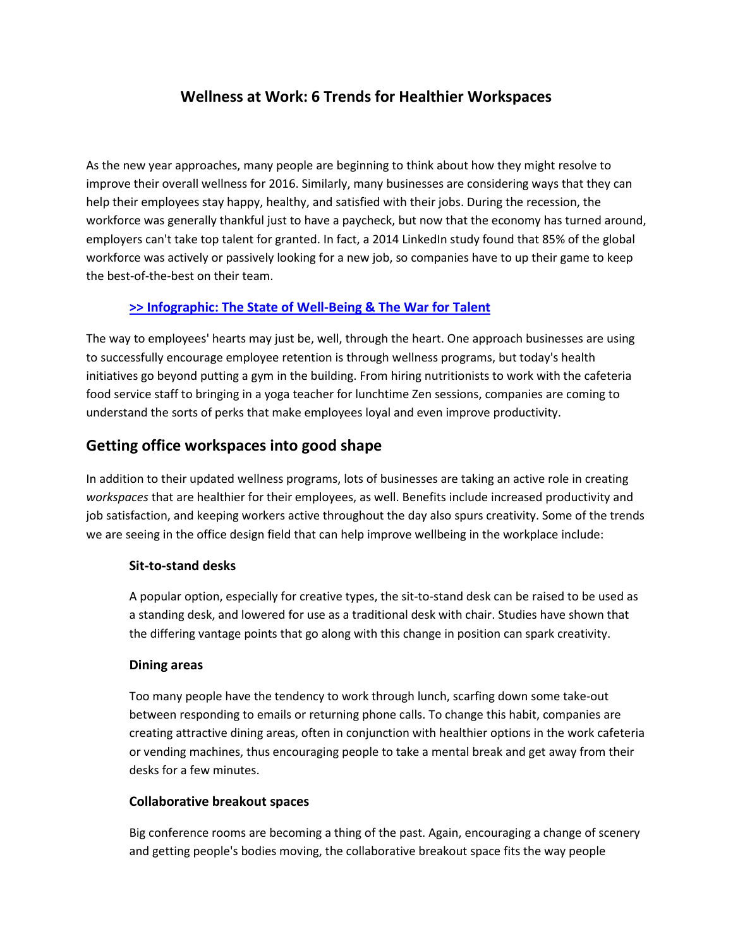# **Wellness at Work: 6 Trends for Healthier Workspaces**

As the new year approaches, many people are beginning to think about how they might resolve to improve their overall wellness for 2016. Similarly, many businesses are considering ways that they can help their employees stay happy, healthy, and satisfied with their jobs. During the recession, the workforce was generally thankful just to have a paycheck, but now that the economy has turned around, employers can't take top talent for granted. In fact, a 2014 LinkedIn study found that 85% of the global workforce was actively or passively looking for a new job, so companies have to up their game to keep the best-of-the-best on their team.

### **[>> Infographic: The State of Well-Being & The War for Talent](http://www.knoll.com/knollnewsdetail/state-of-well-being-infographic)**

The way to employees' hearts may just be, well, through the heart. One approach businesses are using to successfully encourage employee retention is through wellness programs, but today's health initiatives go beyond putting a gym in the building. From hiring nutritionists to work with the cafeteria food service staff to bringing in a yoga teacher for lunchtime Zen sessions, companies are coming to understand the sorts of perks that make employees loyal and even improve productivity.

## **Getting office workspaces into good shape**

In addition to their updated wellness programs, lots of businesses are taking an active role in creating *workspaces* that are healthier for their employees, as well. Benefits include increased productivity and job satisfaction, and keeping workers active throughout the day also spurs creativity. Some of the trends we are seeing in the office design field that can help improve wellbeing in the workplace include:

### **Sit-to-stand desks**

A popular option, especially for creative types, the sit-to-stand desk can be raised to be used as a standing desk, and lowered for use as a traditional desk with chair. Studies have shown that the differing vantage points that go along with this change in position can spark creativity.

#### **Dining areas**

Too many people have the tendency to work through lunch, scarfing down some take-out between responding to emails or returning phone calls. To change this habit, companies are creating attractive dining areas, often in conjunction with healthier options in the work cafeteria or vending machines, thus encouraging people to take a mental break and get away from their desks for a few minutes.

#### **Collaborative breakout spaces**

Big conference rooms are becoming a thing of the past. Again, encouraging a change of scenery and getting people's bodies moving, the collaborative breakout space fits the way people